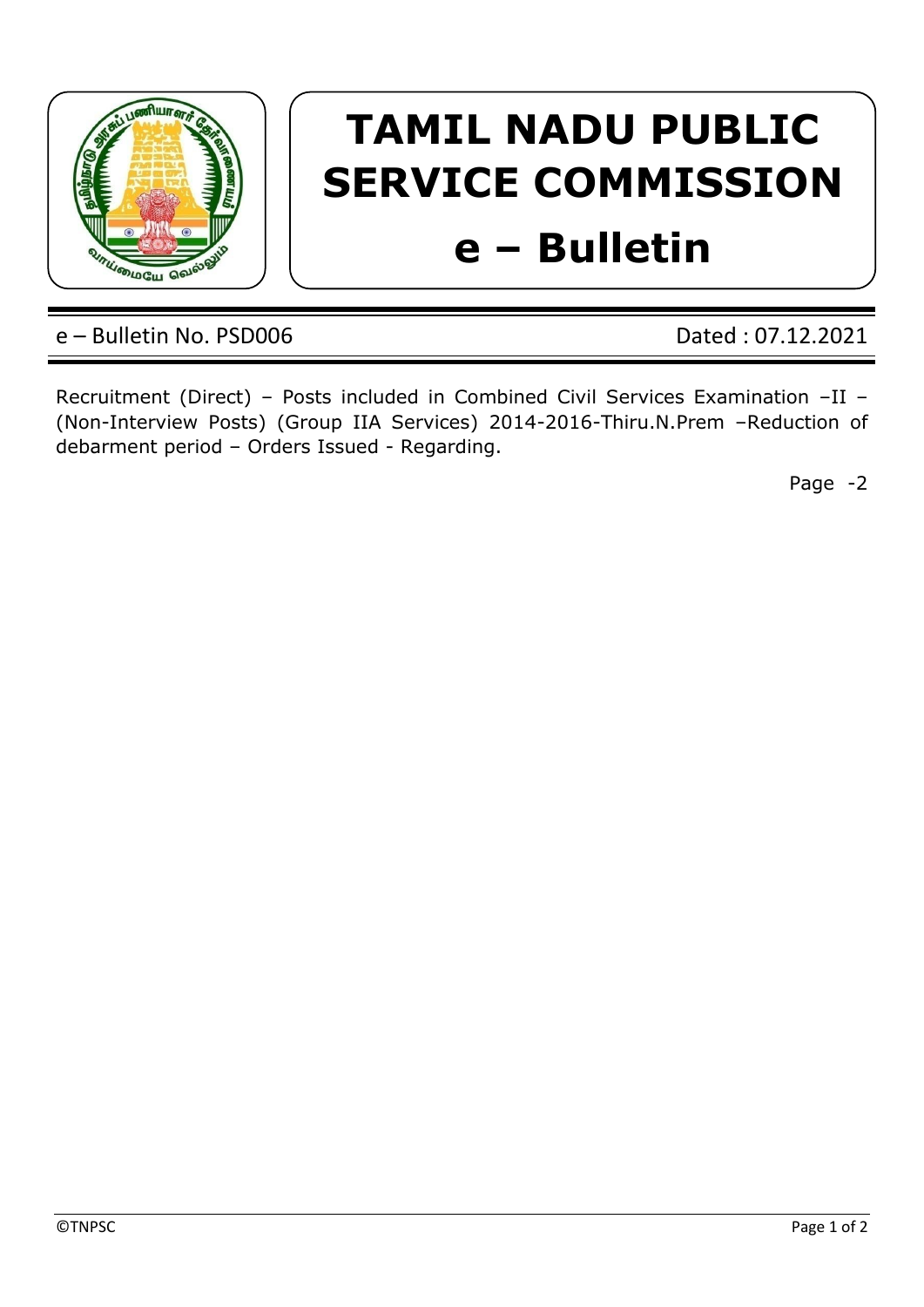

## **TAMIL NADU PUBLIC SERVICE COMMISSION e – Bulletin**

## e – Bulletin No. PSD006 Dated : 07.12.2021

Recruitment (Direct) – Posts included in Combined Civil Services Examination –II – (Non-Interview Posts) (Group IIA Services) 2014-2016-Thiru.N.Prem –Reduction of debarment period – Orders Issued - Regarding.

Page -2